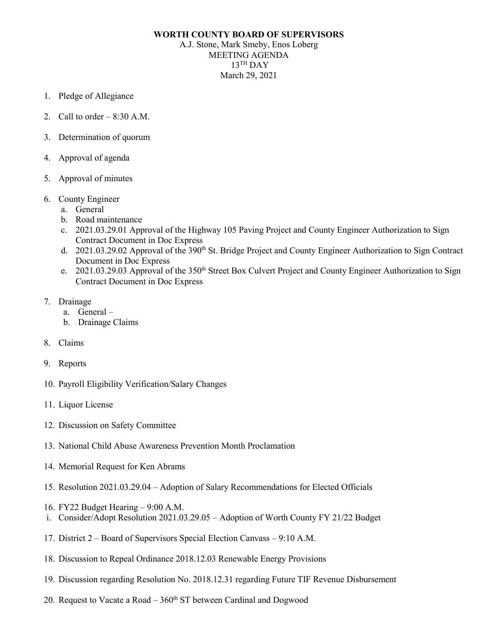## **WORTH COUNTY BOARD OF SUPERVISORS**

A.J. Stone, Mark Smeby, Enos Loberg MEETING AGENDA  $13$ <sup>TH</sup> DAY March 29, 2021

- 1. Pledge of Allegiance
- 2. Call to order  $-8:30$  A.M.
- 3. Determination of quorum
- 4. Approval of agenda
- 5. Approval of minutes
- 6. County Engineer
	- a. General
	- b. Road maintenance
	- c. 2021.03.29.01 Approval of the Highway 105 Paving Project and County Engineer Authorization to Sign Contract Document in Doc Express
	- d. 2021.03.29.02 Approval of the 390<sup>th</sup> St. Bridge Project and County Engineer Authorization to Sign Contract Document in Doc Express
	- e. 2021.03.29.03 Approval of the 350<sup>th</sup> Street Box Culvert Project and County Engineer Authorization to Sign Contract Document in Doc Express
- 7. Drainage
	- a. General –
	- b. Drainage Claims
- 8. Claims
- 9. Reports
- 10. Payroll Eligibility Verification/Salary Changes
- 11. Liquor License
- 12. Discussion on Safety Committee
- 13. National Child Abuse Awareness Prevention Month Proclamation
- 14. Memorial Request for Ken Abrams
- 15. Resolution 2021.03.29.04 Adoption of Salary Recommendations for Elected Officials
- 16. FY22 Budget Hearing 9:00 A.M.
- i. Consider/Adopt Resolution 2021.03.29.05 Adoption of Worth County FY 21/22 Budget
- 17. District 2 Board of Supervisors Special Election Canvass 9:10 A.M.
- 18. Discussion to Repeal Ordinance 2018.12.03 Renewable Energy Provisions
- 19. Discussion regarding Resolution No. 2018.12.31 regarding Future TIF Revenue Disbursement
- 20. Request to Vacate a Road  $-360<sup>th</sup>$  ST between Cardinal and Dogwood